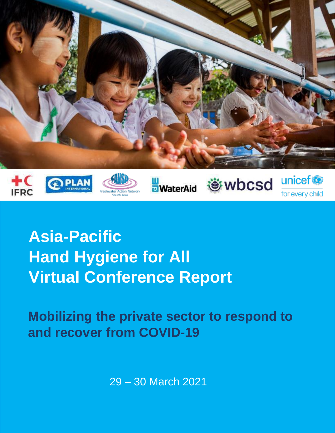

**Asia-Pacific Hand Hygiene for All Virtual Conference Report**

**Mobilizing the private sector to respond to and recover from COVID-19**

29 – 30 March 2021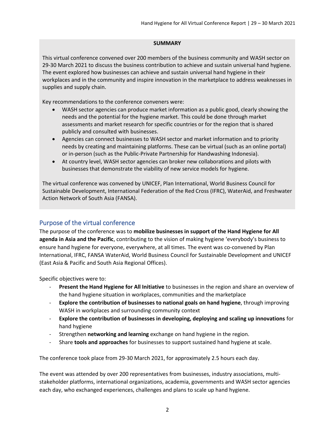#### **SUMMARY**

This virtual conference convened over 200 members of the business community and WASH sector on 29-30 March 2021 to discuss the business contribution to achieve and sustain universal hand hygiene. The event explored how businesses can achieve and sustain universal hand hygiene in their workplaces and in the community and inspire innovation in the marketplace to address weaknesses in supplies and supply chain.

Key recommendations to the conference conveners were:

- WASH sector agencies can produce market information as a public good, clearly showing the needs and the potential for the hygiene market. This could be done through market assessments and market research for specific countries or for the region that is shared publicly and consulted with businesses.
- Agencies can connect businesses to WASH sector and market information and to priority needs by creating and maintaining platforms. These can be virtual (such as an online portal) or in-person (such as the Public-Private Partnership for Handwashing Indonesia).
- At country level, WASH sector agencies can broker new collaborations and pilots with businesses that demonstrate the viability of new service models for hygiene.

The virtual conference was convened by UNICEF, Plan International, World Business Council for Sustainable Development, International Federation of the Red Cross (IFRC), WaterAid, and Freshwater Action Network of South Asia (FANSA).

# Purpose of the virtual conference

The purpose of the conference was to **mobilize businesses in support of the Hand Hygiene for All agenda in Asia and the Pacific**, contributing to the vision of making hygiene 'everybody's business to ensure hand hygiene for everyone, everywhere, at all times. The event was co-convened by Plan International, IFRC, FANSA WaterAid, World Business Council for Sustainable Development and UNICEF (East Asia & Pacific and South Asia Regional Offices).

Specific objectives were to:

- **Present the Hand Hygiene for All Initiative** to businesses in the region and share an overview of the hand hygiene situation in workplaces, communities and the marketplace
- **Explore the contribution of businesses to national goals on hand hygiene**, through improving WASH in workplaces and surrounding community context
- **Explore the contribution of businesses in developing, deploying and scaling up innovations** for hand hygiene
- Strengthen **networking and learning** exchange on hand hygiene in the region.
- Share **tools and approaches** for businesses to support sustained hand hygiene at scale.

The conference took place from 29-30 March 2021, for approximately 2.5 hours each day.

The event was attended by over 200 representatives from businesses, industry associations, multistakeholder platforms, international organizations, academia, governments and WASH sector agencies each day, who exchanged experiences, challenges and plans to scale up hand hygiene.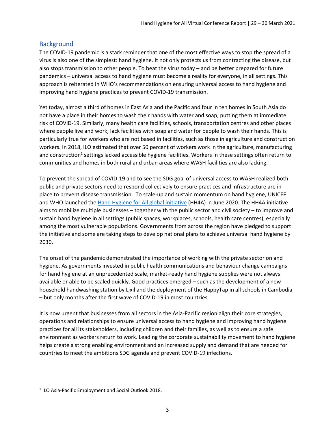# **Background**

The COVID-19 pandemic is a stark reminder that one of the most effective ways to stop the spread of a virus is also one of the simplest: hand hygiene. It not only protects us from contracting the disease, but also stops transmission to other people. To beat the virus today – and be better prepared for future pandemics – universal access to hand hygiene must become a reality for everyone, in all settings. This approach is reiterated in WHO's recommendations on ensuring universal access to hand hygiene and improving hand hygiene practices to prevent COVID-19 transmission.

Yet today, almost a third of homes in East Asia and the Pacific and four in ten homes in South Asia do not have a place in their homes to wash their hands with water and soap, putting them at immediate risk of COVID-19. Similarly, many health care facilities, schools, transportation centres and other places where people live and work, lack facilities with soap and water for people to wash their hands. This is particularly true for workers who are not based in facilities, such as those in agriculture and construction workers. In 2018, ILO estimated that over 50 percent of workers work in the agriculture, manufacturing and construction<sup>1</sup> settings lacked accessible hygiene facilities. Workers in these settings often return to communities and homes in both rural and urban areas where WASH facilities are also lacking.

To prevent the spread of COVID-19 and to see the SDG goal of universal access to WASH realized both public and private sectors need to respond collectively to ensure practices and infrastructure are in place to prevent disease transmission. To scale-up and sustain momentum on hand hygiene, UNICEF and WHO launched the [Hand Hygiene for All global initiative](https://www.unicef.org/reports/hand-hygiene-for-all-2020#:~:text=The%20Hand%20Hygiene%20for%20All,protect%20their%20health%20and%20environment.) (HH4A) in June 2020. The HH4A initiative aims to mobilize multiple businesses – together with the public sector and civil society – to improve and sustain hand hygiene in all settings (public spaces, workplaces, schools, health care centres), especially among the most vulnerable populations. Governments from across the region have pledged to support the initiative and some are taking steps to develop national plans to achieve universal hand hygiene by 2030.

The onset of the pandemic demonstrated the importance of working with the private sector on and hygiene. As governments invested in public health communications and behaviour change campaigns for hand hygiene at an unprecedented scale, market-ready hand hygiene supplies were not always available or able to be scaled quickly. Good practices emerged – such as the development of a new household handwashing station by Lixil and the deployment of the HappyTap in all schools in Cambodia – but only months after the first wave of COVID-19 in most countries.

It is now urgent that businesses from all sectors in the Asia-Pacific region align their core strategies, operations and relationships to ensure universal access to hand hygiene and improving hand hygiene practices for all its stakeholders, including children and their families, as well as to ensure a safe environment as workers return to work. Leading the corporate sustainability movement to hand hygiene helps create a strong enabling environment and an increased supply and demand that are needed for countries to meet the ambitions SDG agenda and prevent COVID-19 infections.

<sup>&</sup>lt;sup>1</sup> ILO Asia-Pacific Employment and Social Outlook 2018.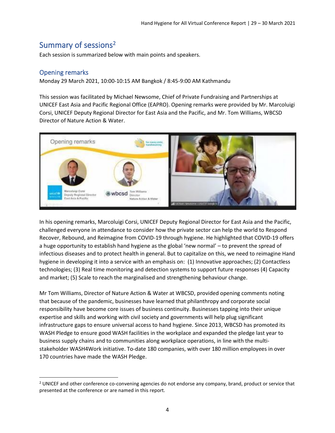# Summary of sessions<sup>2</sup>

Each session is summarized below with main points and speakers.

# Opening remarks

Monday 29 March 2021, 10:00-10:15 AM Bangkok / 8:45-9:00 AM Kathmandu

This session was facilitated by Michael Newsome, Chief of Private Fundraising and Partnerships at UNICEF East Asia and Pacific Regional Office (EAPRO). Opening remarks were provided by Mr. Marcoluigi Corsi, UNICEF Deputy Regional Director for East Asia and the Pacific, and Mr. Tom Williams, WBCSD Director of Nature Action & Water.



In his opening remarks, Marcoluigi Corsi, UNICEF Deputy Regional Director for East Asia and the Pacific, challenged everyone in attendance to consider how the private sector can help the world to Respond Recover, Rebound, and Reimagine from COVID-19 through hygiene. He highlighted that COVID-19 offers a huge opportunity to establish hand hygiene as the global 'new normal' – to prevent the spread of infectious diseases and to protect health in general. But to capitalize on this, we need to reimagine Hand hygiene in developing it into a service with an emphasis on: (1) Innovative approaches; (2) Contactless technologies; (3) Real time monitoring and detection systems to support future responses (4) Capacity and market; (5) Scale to reach the marginalised and strengthening behaviour change.

Mr Tom Williams, Director of Nature Action & Water at WBCSD, provided opening comments noting that because of the pandemic, businesses have learned that philanthropy and corporate social responsibility have become core issues of business continuity. Businesses tapping into their unique expertise and skills and working with civil society and governments will help plug significant infrastructure gaps to ensure universal access to hand hygiene. Since 2013, WBCSD has promoted its WASH Pledge to ensure good WASH facilities in the workplace and expanded the pledge last year to business supply chains and to communities along workplace operations, in line with the multistakeholder WASH4Work initiative. To-date 180 companies, with over 180 million employees in over 170 countries have made the WASH Pledge.

 $<sup>2</sup>$  UNICEF and other conference co-convening agencies do not endorse any company, brand, product or service that</sup> presented at the conference or are named in this report.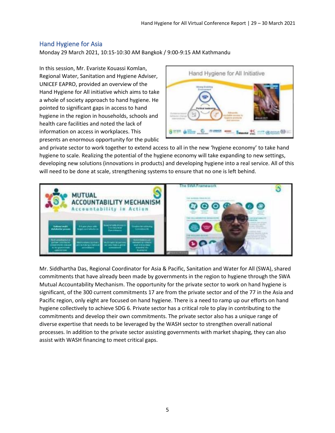# Hand Hygiene for Asia

Monday 29 March 2021, 10:15-10:30 AM Bangkok / 9:00-9:15 AM Kathmandu

In this session, Mr. Evariste Kouassi Komlan, Regional Water, Sanitation and Hygiene Adviser, UNICEF EAPRO, provided an overview of the Hand Hygiene for All initiative which aims to take a whole of society approach to hand hygiene. He pointed to significant gaps in access to hand hygiene in the region in households, schools and health care facilities and noted the lack of information on access in workplaces. This presents an enormous opportunity for the public



and private sector to work together to extend access to all in the new 'hygiene economy' to take hand hygiene to scale. Realizing the potential of the hygiene economy will take expanding to new settings, developing new solutions (innovations in products) and developing hygiene into a real service. All of this will need to be done at scale, strengthening systems to ensure that no one is left behind.



Mr. Siddhartha Das, Regional Coordinator for Asia & Pacific, Sanitation and Water for All (SWA), shared commitments that have already been made by governments in the region to hygiene through the SWA Mutual Accountability Mechanism. The opportunity for the private sector to work on hand hygiene is significant, of the 300 current commitments 17 are from the private sector and of the 77 in the Asia and Pacific region, only eight are focused on hand hygiene. There is a need to ramp up our efforts on hand hygiene collectively to achieve SDG 6. Private sector has a critical role to play in contributing to the commitments and develop their own commitments. The private sector also has a unique range of diverse expertise that needs to be leveraged by the WASH sector to strengthen overall national processes. In addition to the private sector assisting governments with market shaping, they can also assist with WASH financing to meet critical gaps.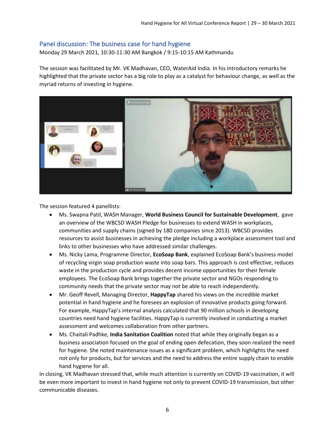# Panel discussion: The business case for hand hygiene

Monday 29 March 2021, 10:30-11:30 AM Bangkok / 9:15-10:15 AM Kathmandu

The session was facilitated by Mr. VK Madhavan, CEO, WaterAid India. In his introductory remarks he highlighted that the private sector has a big role to play as a catalyst for behaviour change, as well as the myriad returns of investing in hygiene.



The session featured 4 panellists:

- Ms. Swapna Patil, WASH Manager, **World Business Council for Sustainable Development**, gave an overview of the WBCSD WASH Pledge for businesses to extend WASH in workplaces, communities and supply chains (signed by 180 companies since 2013). WBCSD provides resources to assist businesses in achieving the pledge including a workplace assessment tool and links to other businesses who have addressed similar challenges.
- Ms. Nicky Lama, Programme Director, **EcoSoap Bank**, explained EcoSoap Bank's business model of recycling virgin soap production waste into soap bars. This approach is cost effective, reduces waste in the production cycle and provides decent income opportunities for their female employees. The EcoSoap Bank brings together the private sector and NGOs responding to community needs that the private sector may not be able to reach independently.
- Mr. Geoff Revell, Managing Director, **HappyTap** shared his views on the incredible market potential in hand hygiene and he foresees an explosion of innovative products going forward. For example, HappyTap's internal analysis calculated that 90 million schools in developing countries need hand hygiene facilities. HappyTap is currently involved in conducting a market assessment and welcomes collaboration from other partners.
- Ms. Chaitali Padhke, **India Sanitation Coalition** noted that while they originally began as a business association focused on the goal of ending open defecation, they soon realized the need for hygiene. She noted maintenance issues as a significant problem, which highlights the need not only for products, but for services and the need to address the entire supply chain to enable hand hygiene for all.

In closing, VK Madhavan stressed that, while much attention is currently on COVID-19 vaccination, it will be even more important to invest in hand hygiene not only to prevent COVID-19 transmission, but other communicable diseases.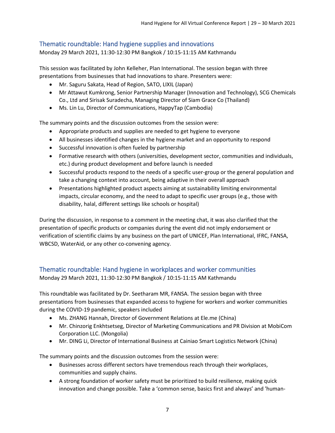# Thematic roundtable: Hand hygiene supplies and innovations

Monday 29 March 2021, 11:30-12:30 PM Bangkok / 10:15-11:15 AM Kathmandu

This session was facilitated by John Kelleher, Plan International. The session began with three presentations from businesses that had innovations to share. Presenters were:

- Mr. Saguru Sakata, Head of Region, SATO, LIXIL (Japan)
- Mr Attawut Kumkrong, Senior Partnership Manager (Innovation and Technology), SCG Chemicals Co., Ltd and Sirisak Suradecha, Managing Director of Siam Grace Co (Thailand)
- Ms. Lin Lu, Director of Communications, HappyTap (Cambodia)

The summary points and the discussion outcomes from the session were:

- Appropriate products and supplies are needed to get hygiene to everyone
- All businesses identified changes in the hygiene market and an opportunity to respond
- Successful innovation is often fueled by partnership
- Formative research with others (universities, development sector, communities and individuals, etc.) during product development and before launch is needed
- Successful products respond to the needs of a specific user-group or the general population and take a changing context into account, being adaptive in their overall approach
- Presentations highlighted product aspects aiming at sustainability limiting environmental impacts, circular economy, and the need to adapt to specific user groups (e.g., those with disability, halal, different settings like schools or hospital)

During the discussion, in response to a comment in the meeting chat, it was also clarified that the presentation of specific products or companies during the event did not imply endorsement or verification of scientific claims by any business on the part of UNICEF, Plan International, IFRC, FANSA, WBCSD, WaterAid, or any other co-convening agency.

# Thematic roundtable: Hand hygiene in workplaces and worker communities

Monday 29 March 2021, 11:30-12:30 PM Bangkok / 10:15-11:15 AM Kathmandu

This roundtable was facilitated by Dr. Seetharam MR, FANSA. The session began with three presentations from businesses that expanded access to hygiene for workers and worker communities during the COVID-19 pandemic, speakers included

- Ms. ZHANG Hannah, Director of Government Relations at Ele.me (China)
- Mr. Chinzorig Enkhtsetseg, Director of Marketing Communications and PR Division at MobiCom Corporation LLC. (Mongolia)
- Mr. DING Li, Director of International Business at Cainiao Smart Logistics Network (China)

The summary points and the discussion outcomes from the session were:

- Businesses across different sectors have tremendous reach through their workplaces, communities and supply chains.
- A strong foundation of worker safety must be prioritized to build resilience, making quick innovation and change possible. Take a 'common sense, basics first and always' and 'human-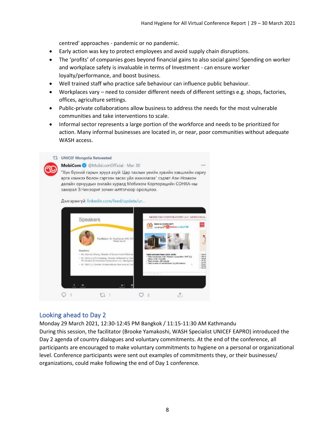centred' approaches - pandemic or no pandemic.

- Early action was key to protect employees and avoid supply chain disruptions.
- The 'profits' of companies goes beyond financial gains to also social gains! Spending on worker and workplace safety is invaluable in terms of Investment - can ensure worker loyalty/performance, and boost business.
- Well trained staff who practice safe behaviour can influence public behaviour.
- Workplaces vary need to consider different needs of different settings e.g. shops, factories, offices, agriculture settings.
- Public-private collaborations allow business to address the needs for the most vulnerable communities and take interventions to scale.
- Informal sector represents a large portion of the workforce and needs to be prioritized for action. Many informal businesses are located in, or near, poor communities without adequate WASH access.



# Looking ahead to Day 2

Monday 29 March 2021, 12:30-12:45 PM Bangkok / 11:15-11:30 AM Kathmandu

During this session, the facilitator (Brooke Yamakoshi, WASH Specialist UNICEF EAPRO) introduced the Day 2 agenda of country dialogues and voluntary commitments. At the end of the conference, all participants are encouraged to make voluntary commitments to hygiene on a personal or organizational level. Conference participants were sent out examples of commitments they, or their businesses/ organizations, could make following the end of Day 1 conference.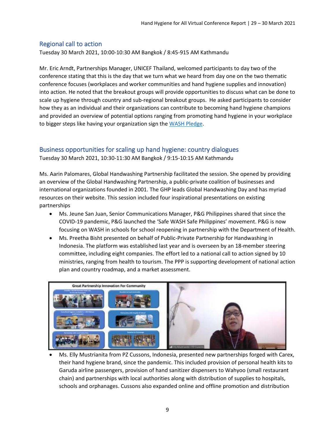# Regional call to action

Tuesday 30 March 2021, 10:00-10:30 AM Bangkok / 8:45-915 AM Kathmandu

Mr. Eric Arndt, Partnerships Manager, UNICEF Thailand, welcomed participants to day two of the conference stating that this is the day that we turn what we heard from day one on the two thematic conference focuses (workplaces and worker communities and hand hygiene supplies and innovation) into action. He noted that the breakout groups will provide opportunities to discuss what can be done to scale up hygiene through country and sub-regional breakout groups. He asked participants to consider how they as an individual and their organizations can contribute to becoming hand hygiene champions and provided an overview of potential options ranging from promoting hand hygiene in your workplace to bigger steps like having your organization sign the [WASH Pledge.](https://www.wbcsd.org/Programs/Food-and-Nature/Water/News/WBCSD-and-WASH4Work-release-updated-WASH-Pledge)

# Business opportunities for scaling up hand hygiene: country dialogues

Tuesday 30 March 2021, 10:30-11:30 AM Bangkok / 9:15-10:15 AM Kathmandu

Ms. Aarin Palomares, Global Handwashing Partnership facilitated the session. She opened by providing an overview of the Global Handwashing Partnership, a public-private coalition of businesses and international organizations founded in 2001. The GHP leads Global Handwashing Day and has myriad resources on their website. This session included four inspirational presentations on existing partnerships

- Ms. Jeune San Juan, Senior Communications Manager, P&G Philippines shared that since the COVID-19 pandemic, P&G launched the 'Safe WASH Safe Philippines' movement. P&G is now focusing on WASH in schools for school reopening in partnership with the Department of Health.
- Ms. Preetha Bisht presented on behalf of Public-Private Partnership for Handwashing in Indonesia. The platform was established last year and is overseen by an 18-member steering committee, including eight companies. The effort led to a national call to action signed by 10 ministries, ranging from health to tourism. The PPP is supporting development of national action plan and country roadmap, and a market assessment.



• Ms. Elly Mustrianita from PZ Cussons, Indonesia, presented new partnerships forged with Carex, their hand hygiene brand, since the pandemic. This included provision of personal health kits to Garuda airline passengers, provision of hand sanitizer dispensers to Wahyoo (small restaurant chain) and partnerships with local authorities along with distribution of supplies to hospitals, schools and orphanages. Cussons also expanded online and offline promotion and distribution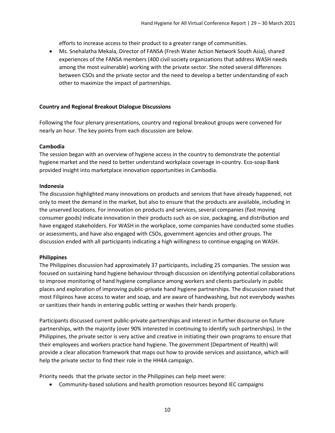efforts to increase access to their product to a greater range of communities.

• Ms. Snehalatha Mekala, Director of FANSA (Fresh Water Action Network South Asia), shared experiences of the FANSA members (400 civil society organizations that address WASH needs among the most vulnerable) working with the private sector. She noted several differences between CSOs and the private sector and the need to develop a better understanding of each other to maximize the impact of partnerships.

#### **Country and Regional Breakout Dialogue Discussions**

Following the four plenary presentations, country and regional breakout groups were convened for nearly an hour. The key points from each discussion are below.

#### **Cambodia**

The session began with an overview of hygiene access in the country to demonstrate the potential hygiene market and the need to better understand workplace coverage in-country. Eco-soap Bank provided insight into marketplace innovation opportunities in Cambodia.

#### **Indonesia**

The discussion highlighted many innovations on products and services that have already happened, not only to meet the demand in the market, but also to ensure that the products are available, including in the unserved locations. For innovation on products and services, several companies (fast moving consumer goods) indicate innovation in their products such as on size, packaging, and distribution and have engaged stakeholders. For WASH in the workplace, some companies have conducted some studies or assessments, and have also engaged with CSOs, government agencies and other groups. The discussion ended with all participants indicating a high willingness to continue engaging on WASH.

#### **Philippines**

The Philippines discussion had approximately 37 participants, including 25 companies. The session was focused on sustaining hand hygiene behaviour through discussion on identifying potential collaborations to improve monitoring of hand hygiene compliance among workers and clients particularly in public places and exploration of improving public-private hand hygiene partnerships. The discussion raised that most Filipinos have access to water and soap, and are aware of handwashing, but not everybody washes or sanitizes their hands in entering public setting or washes their hands properly.

Participants discussed current public-private partnerships and interest in further discourse on future partnerships, with the majority (over 90% interested in continuing to identify such partnerships). In the Philippines, the private sector is very active and creative in initiating their own programs to ensure that their employees and workers practice hand hygiene. The government (Department of Health) will provide a clear allocation framework that maps out how to provide services and assistance, which will help the private sector to find their role in the HH4A campaign.

Priority needs that the private sector in the Philippines can help meet were:

• Community-based solutions and health promotion resources beyond IEC campaigns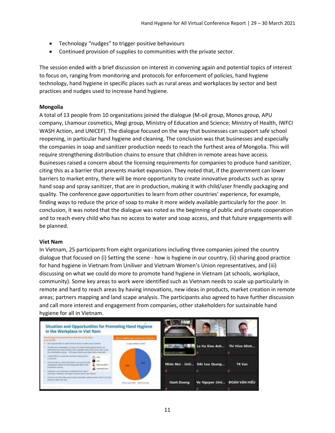- Technology "nudges" to trigger positive behaviours
- Continued provision of supplies to communities with the private sector.

The session ended with a brief discussion on interest in convening again and potential topics of interest to focus on, ranging from monitoring and protocols for enforcement of policies, hand hygiene technology, hand hygiene in specific places such as rural areas and workplaces by sector and best practices and nudges used to increase hand hygiene.

#### **Mongolia**

A total of 13 people from 10 organizations joined the dialogue (M-oil group, Monos group, APU company, Lhamour cosmetics, Megi group, Ministry of Education and Science; Ministry of Health, IWFCI WASH Action, and UNICEF). The dialogue focused on the way that businesses can support safe school reopening, in particular hand hygiene and cleaning. The conclusion was that businesses and especially the companies in soap and sanitizer production needs to reach the furthest area of Mongolia. This will require strengthening distribution chains to ensure that children in remote areas have access. Businesses raised a concern about the licensing requirements for companies to produce hand sanitizer, citing this as a barrier that prevents market expansion. They noted that, if the government can lower barriers to market entry, there will be more opportunity to create innovative products such as spray hand soap and spray sanitizer, that are in production, making it with child/user friendly packaging and quality. The conference gave opportunities to learn from other countries' experience, for example, finding ways to reduce the price of soap to make it more widely available particularly for the poor. In conclusion, it was noted that the dialogue was noted as the beginning of public and private cooperation and to reach every child who has no access to water and soap access, and that future engagements will be planned.

#### **Viet Nam**

In Vietnam, 25 participants from eight organizations including three companies joined the country dialogue that focused on (i) Setting the scene - how is hygiene in our country, (ii) sharing good practice for hand hygiene in Vietnam from Uniliver and Vietnam Women's Union representatives, and (iii) discussing on what we could do more to promote hand hygiene in Vietnam (at schools, workplace, community). Some key areas to work were identified such as Vietnam needs to scale up particularly in remote and hard to reach areas by having innovations, new ideas in products, market creation in remote areas; partners mapping and land scape analysis. The participants also agreed to have further discussion and call more interest and engagement from companies, other stakeholders for sustainable hand hygiene for all in Vietnam.

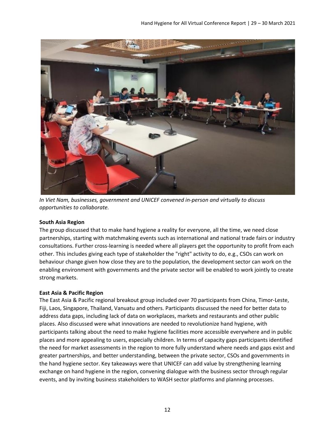

*In Viet Nam, businesses, government and UNICEF convened in-person and virtually to discuss opportunities to collaborate.* 

#### **South Asia Region**

The group discussed that to make hand hygiene a reality for everyone, all the time, we need close partnerships, starting with matchmaking events such as international and national trade fairs or industry consultations. Further cross-learning is needed where all players get the opportunity to profit from each other. This includes giving each type of stakeholder the "right" activity to do, e.g., CSOs can work on behaviour change given how close they are to the population, the development sector can work on the enabling environment with governments and the private sector will be enabled to work jointly to create strong markets.

#### **East Asia & Pacific Region**

The East Asia & Pacific regional breakout group included over 70 participants from China, Timor-Leste, Fiji, Laos, Singapore, Thailand, Vanuatu and others. Participants discussed the need for better data to address data gaps, including lack of data on workplaces, markets and restaurants and other public places. Also discussed were what innovations are needed to revolutionize hand hygiene, with participants talking about the need to make hygiene facilities more accessible everywhere and in public places and more appealing to users, especially children. In terms of capacity gaps participants identified the need for market assessments in the region to more fully understand where needs and gaps exist and greater partnerships, and better understanding, between the private sector, CSOs and governments in the hand hygiene sector. Key takeaways were that UNICEF can add value by strengthening learning exchange on hand hygiene in the region, convening dialogue with the business sector through regular events, and by inviting business stakeholders to WASH sector platforms and planning processes.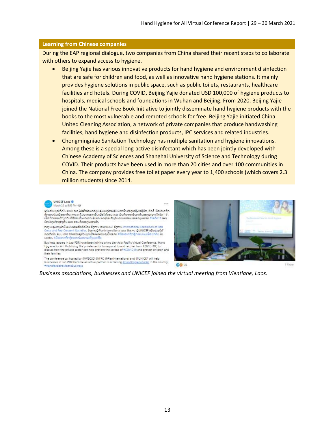#### **Learning from Chinese companies**

During the EAP regional dialogue, two companies from China shared their recent steps to collaborate with others to expand access to hygiene.

- Beijing Yajie has various innovative products for hand hygiene and environment disinfection that are safe for children and food, as well as innovative hand hygiene stations. It mainly provides hygiene solutions in public space, such as public toilets, restaurants, healthcare facilities and hotels. During COVID, Beijing Yajie donated USD 100,000 of hygiene products to hospitals, medical schools and foundations in Wuhan and Beijing. From 2020, Beijing Yajie joined the National Free Book Initiative to jointly disseminate hand hygiene products with the books to the most vulnerable and remoted schools for free. Beijing Yajie initiated China United Cleaning Association, a network of private companies that produce handwashing facilities, hand hygiene and disinfection products, IPC services and related industries.
- Chongmingniao Sanitation Technology has multiple sanitation and hygiene innovations. Among these is a special long-active disinfectant which has been jointly developed with Chinese Academy of Sciences and Shanghai University of Science and Technology during COVID. Their products have been used in more than 20 cities and over 100 communities in China. The company provides free toilet paper every year to 1,400 schools (which covers 2.3 million students) since 2014.



ຜູ້ນໍາດຳນອຸດເກີດໃນ ສປປ ລາວ ໄດ້ເຂົ້າຮ່ວມກອງປະຊຸມທາງໄກລະດັບພາກພື້ນຂອງອາຊີ-ປະຊີຟິກ, ຫົວຂໍ້ ມີສະອາດທີ່ກ ຊື້ກອງນາໂມເພື່ອທຸກສ້າມ ການລະດີມພາກເອກເຊັ່ນເພື່ອໃກ້ໂກຣມ ແລະ ພື້ນຕິວຈາກຜົນກະທົບຂອງພະຍາດໃສ່ວິດ-19]<br>ເພື່ອມີກອາຫາລືກ່ຽວກັບດີທີ່ການທີ່ພາກເອກເຊັ່ນອາມາດຊ່ວຍເມືອງກັນການແຜ່ລະບາດຂອງພະຍາດ ກໍໄດ້ດີດ19 ແລະ ມີກະໂຈງທັກທຸກໆຄົນ ແລະ ຄອນຄົວຂອງພວກເຂົາ.

ตอງนะคุมเหตุใดนี้ ผม่มอ่อมดันซื้อโดย อีฏคน @WBCSD, อีฏคน International Federation of Red Cross and Red Crescent Societies, ចំពួករបរ@Planinternational រវេលា ចំពួកអប @UNICEF យើងឆ្លងលើនាំ<br>គ្រោះពីតវ័ប ឧបយ លាង ពរណ៍ដៃខ្លាំងឯល្អការបំពុងលោកវ័យត្នលើនេះអាម គឺរើសពេលកើតឡើងពេលរដ់របស់ពេញកើត រីប បាយស. គឺជ័យលាលព្រៃក្រែលរបស់រយៈ១០ល្បីប្រយល់ពីព

Business leaders in Lao PDR have been joining a two day Asia-Pacific Virtual Conference, 'Hand Hygiene for All: Mobilizing the private sector to respond to and recover from COVID-19; to<br>discuss how the private sector can help prevent the spread of +COVID19 and protect children and their families.

The conference co-hosted by @WBCSD @IFRC @PlanInternational and @UNICEF will help businesses in Lao PDR become an active partner in achieving #HandHygieneForAL in the country. #HandHygieneMeansBusiness



*Business associations, businesses and UNICEF joined the virtual meeting from Vientiane, Laos.*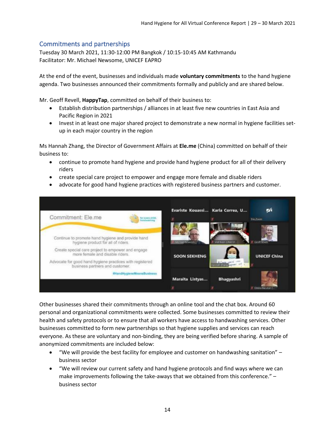# Commitments and partnerships

Tuesday 30 March 2021, 11:30-12:00 PM Bangkok / 10:15-10:45 AM Kathmandu Facilitator: Mr. Michael Newsome, UNICEF EAPRO

At the end of the event, businesses and individuals made **voluntary commitments** to the hand hygiene agenda. Two businesses announced their commitments formally and publicly and are shared below.

Mr. Geoff Revell, **HappyTap**, committed on behalf of their business to:

- Establish distribution partnerships / alliances in at least five new countries in East Asia and Pacific Region in 2021
- Invest in at least one major shared project to demonstrate a new normal in hygiene facilities setup in each major country in the region

Ms Hannah Zhang, the Director of Government Affairs at **Ele.me** (China) committed on behalf of their business to:

- continue to promote hand hygiene and provide hand hygiene product for all of their delivery riders
- create special care project to empower and engage more female and disable riders
- advocate for good hand hygiene practices with registered business partners and customer.



Other businesses shared their commitments through an online tool and the chat box. Around 60 personal and organizational commitments were collected. Some businesses committed to review their health and safety protocols or to ensure that all workers have access to handwashing services. Other businesses committed to form new partnerships so that hygiene supplies and services can reach everyone. As these are voluntary and non-binding, they are being verified before sharing. A sample of anonymized commitments are included below:

- "We will provide the best facility for employee and customer on handwashing sanitation"  $$ business sector
- "We will review our current safety and hand hygiene protocols and find ways where we can make improvements following the take-aways that we obtained from this conference." – business sector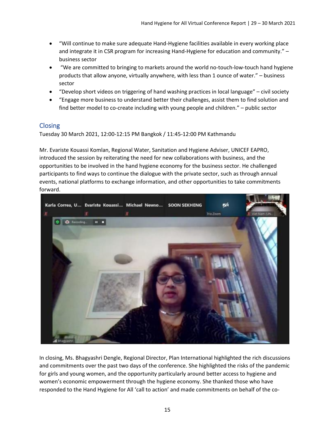- "Will continue to make sure adequate Hand-Hygiene facilities available in every working place and integrate it in CSR program for increasing Hand-Hygiene for education and community." – business sector
- "We are committed to bringing to markets around the world no-touch-low-touch hand hygiene products that allow anyone, virtually anywhere, with less than 1 ounce of water." – business sector
- "Develop short videos on triggering of hand washing practices in local language" civil society
- "Engage more business to understand better their challenges, assist them to find solution and find better model to co-create including with young people and children." – public sector

# **Closing**

Tuesday 30 March 2021, 12:00-12:15 PM Bangkok / 11:45-12:00 PM Kathmandu

Mr. Evariste Kouassi Komlan, Regional Water, Sanitation and Hygiene Adviser, UNICEF EAPRO, introduced the session by reiterating the need for new collaborations with business, and the opportunities to be involved in the hand hygiene economy for the business sector. He challenged participants to find ways to continue the dialogue with the private sector, such as through annual events, national platforms to exchange information, and other opportunities to take commitments forward.



In closing, Ms. Bhagyashri Dengle, Regional Director, Plan International highlighted the rich discussions and commitments over the past two days of the conference. She highlighted the risks of the pandemic for girls and young women, and the opportunity particularly around better access to hygiene and women's economic empowerment through the hygiene economy. She thanked those who have responded to the Hand Hygiene for All 'call to action' and made commitments on behalf of the co